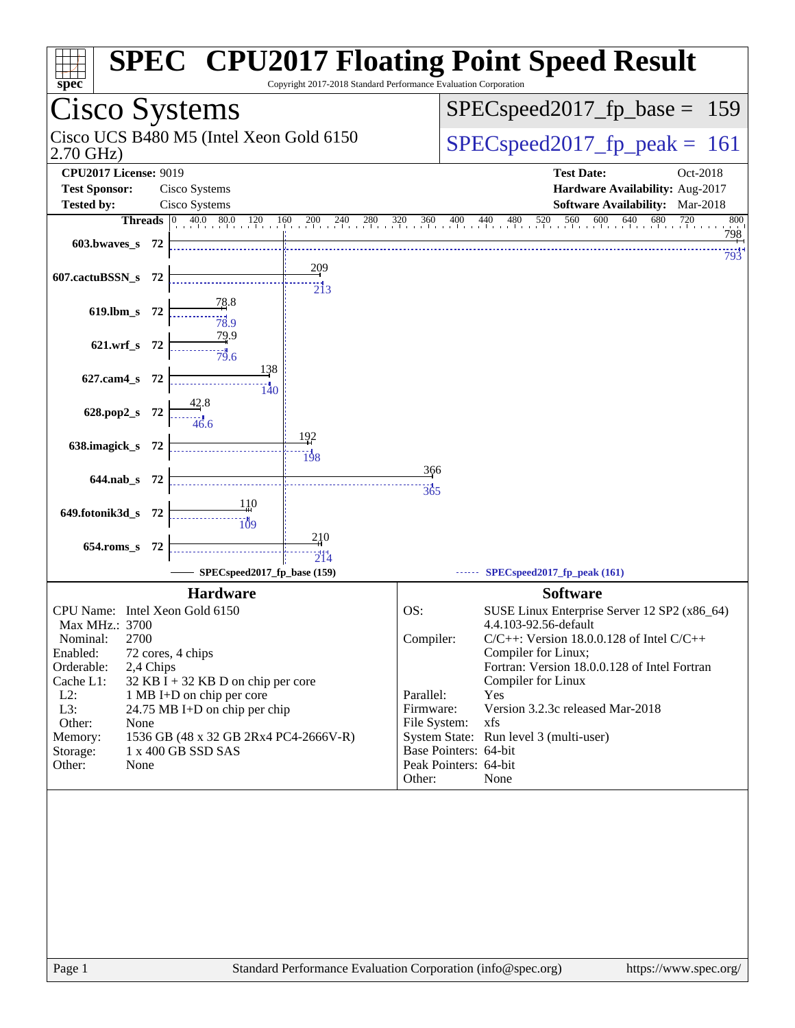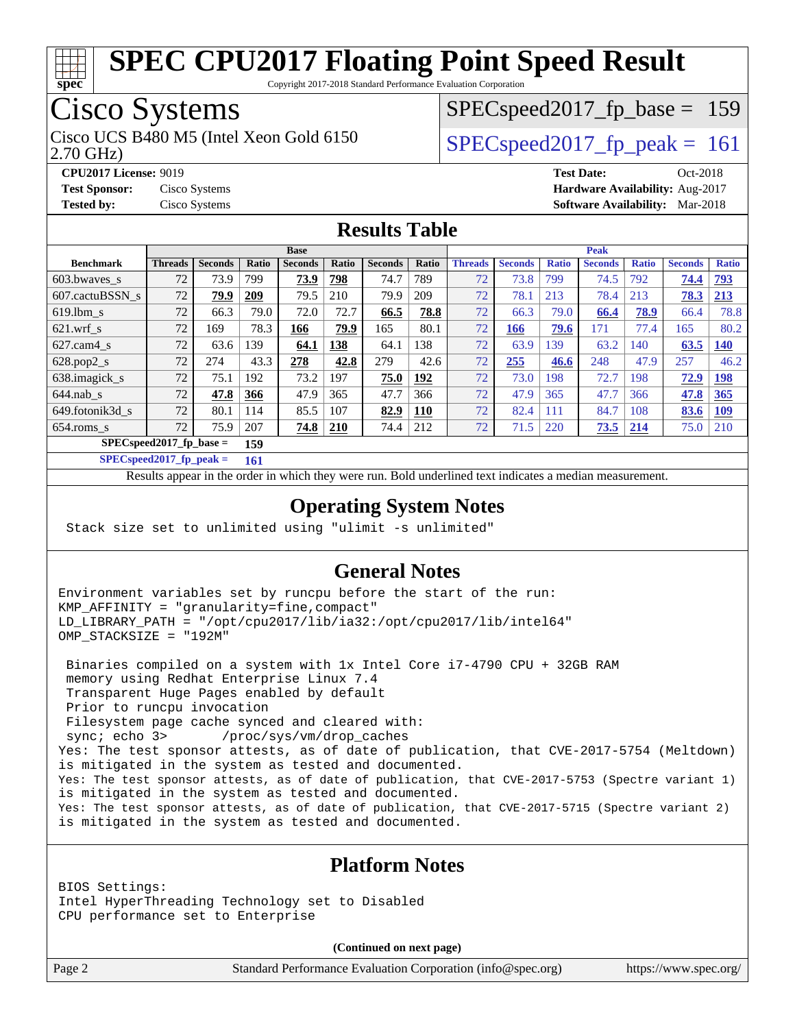

Copyright 2017-2018 Standard Performance Evaluation Corporation

### Cisco Systems

2.70 GHz) Cisco UCS B480 M5 (Intel Xeon Gold 6150  $SPECspeed2017$  fp\_peak = 161

SPECspeed2017 fp base =  $159$ 

**[CPU2017 License:](http://www.spec.org/auto/cpu2017/Docs/result-fields.html#CPU2017License)** 9019 **[Test Date:](http://www.spec.org/auto/cpu2017/Docs/result-fields.html#TestDate)** Oct-2018 **[Test Sponsor:](http://www.spec.org/auto/cpu2017/Docs/result-fields.html#TestSponsor)** Cisco Systems **[Hardware Availability:](http://www.spec.org/auto/cpu2017/Docs/result-fields.html#HardwareAvailability)** Aug-2017

## **[Tested by:](http://www.spec.org/auto/cpu2017/Docs/result-fields.html#Testedby)** Cisco Systems **[Software Availability:](http://www.spec.org/auto/cpu2017/Docs/result-fields.html#SoftwareAvailability)** Mar-2018

#### **[Results Table](http://www.spec.org/auto/cpu2017/Docs/result-fields.html#ResultsTable)**

|                                  | <b>Base</b>    |                |       |                |       |                |            | <b>Peak</b>    |                |              |                |              |                |              |
|----------------------------------|----------------|----------------|-------|----------------|-------|----------------|------------|----------------|----------------|--------------|----------------|--------------|----------------|--------------|
| <b>Benchmark</b>                 | <b>Threads</b> | <b>Seconds</b> | Ratio | <b>Seconds</b> | Ratio | <b>Seconds</b> | Ratio      | <b>Threads</b> | <b>Seconds</b> | <b>Ratio</b> | <b>Seconds</b> | <b>Ratio</b> | <b>Seconds</b> | <b>Ratio</b> |
| 603.bwayes_s                     | 72             | 73.9           | 799   | 73.9           | 798   | 74.7           | 789        | 72             | 73.8           | 799          | 74.5           | 792          | 74.4           | <b>793</b>   |
| 607.cactuBSSN s                  | 72             | 79.9           | 209   | 79.5           | 210   | 79.9           | 209        | 72             | 78.1           | 213          | 78.4           | 213          | 78.3           | 213          |
| $619.$ lbm s                     | 72             | 66.3           | 79.0  | 72.0           | 72.7  | 66.5           | 78.8       | 72             | 66.3           | 79.0         | 66.4           | 78.9         | 66.4           | 78.8         |
| $621.wrf$ s                      | 72             | 169            | 78.3  | 166            | 79.9  | 165            | 80.1       | 72             | 166            | 79.6         | 171            | 77.4         | 165            | 80.2         |
| $627$ .cam $4$ <sub>S</sub>      | 72             | 63.6           | 139   | 64.1           | 138   | 64.1           | 138        | 72             | 63.9           | 139          | 63.2           | 140          | 63.5           | 140          |
| $628.pop2_s$                     | 72             | 274            | 43.3  | 278            | 42.8  | 279            | 42.6       | 72             | 255            | 46.6         | 248            | 47.9         | 257            | 46.2         |
| 638.imagick_s                    | 72             | 75.1           | 192   | 73.2           | 197   | 75.0           | 192        | 72             | 73.0           | 198          | 72.7           | 198          | 72.9           | <u>198</u>   |
| $644$ .nab s                     | 72             | 47.8           | 366   | 47.9           | 365   | 47.7           | 366        | 72             | 47.9           | 365          | 47.7           | 366          | 47.8           | 365          |
| 649.fotonik3d s                  | 72             | 80.1           | 114   | 85.5           | 107   | 82.9           | <b>110</b> | 72             | 82.4           | 111          | 84.7           | 108          | 83.6           | <u>109</u>   |
| $654$ .roms s                    | 72             | 75.9           | 207   | <u>74.8</u>    | 210   | 74.4           | 212        | 72             | 71.5           | 220          | 73.5           | 214          | 75.0           | 210          |
| $SPECspeed2017$ fp base =<br>159 |                |                |       |                |       |                |            |                |                |              |                |              |                |              |

**[SPECspeed2017\\_fp\\_peak =](http://www.spec.org/auto/cpu2017/Docs/result-fields.html#SPECspeed2017fppeak) 161**

Results appear in the [order in which they were run.](http://www.spec.org/auto/cpu2017/Docs/result-fields.html#RunOrder) Bold underlined text [indicates a median measurement](http://www.spec.org/auto/cpu2017/Docs/result-fields.html#Median).

#### **[Operating System Notes](http://www.spec.org/auto/cpu2017/Docs/result-fields.html#OperatingSystemNotes)**

Stack size set to unlimited using "ulimit -s unlimited"

#### **[General Notes](http://www.spec.org/auto/cpu2017/Docs/result-fields.html#GeneralNotes)**

Environment variables set by runcpu before the start of the run: KMP\_AFFINITY = "granularity=fine,compact" LD\_LIBRARY\_PATH = "/opt/cpu2017/lib/ia32:/opt/cpu2017/lib/intel64" OMP\_STACKSIZE = "192M"

 Binaries compiled on a system with 1x Intel Core i7-4790 CPU + 32GB RAM memory using Redhat Enterprise Linux 7.4 Transparent Huge Pages enabled by default Prior to runcpu invocation Filesystem page cache synced and cleared with: sync; echo 3> /proc/sys/vm/drop\_caches Yes: The test sponsor attests, as of date of publication, that CVE-2017-5754 (Meltdown) is mitigated in the system as tested and documented. Yes: The test sponsor attests, as of date of publication, that CVE-2017-5753 (Spectre variant 1) is mitigated in the system as tested and documented. Yes: The test sponsor attests, as of date of publication, that CVE-2017-5715 (Spectre variant 2) is mitigated in the system as tested and documented.

#### **[Platform Notes](http://www.spec.org/auto/cpu2017/Docs/result-fields.html#PlatformNotes)**

BIOS Settings: Intel HyperThreading Technology set to Disabled CPU performance set to Enterprise

**(Continued on next page)**

Page 2 Standard Performance Evaluation Corporation [\(info@spec.org\)](mailto:info@spec.org) <https://www.spec.org/>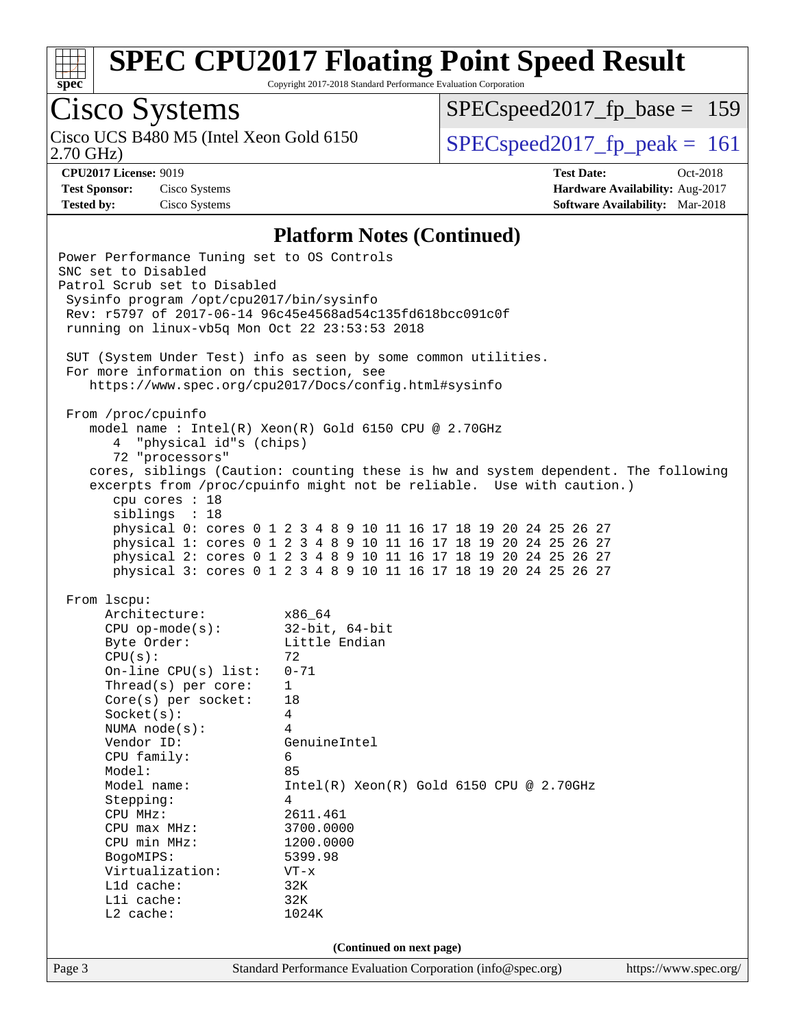

Copyright 2017-2018 Standard Performance Evaluation Corporation

## Cisco Systems

[SPECspeed2017\\_fp\\_base =](http://www.spec.org/auto/cpu2017/Docs/result-fields.html#SPECspeed2017fpbase) 159

2.70 GHz)

Cisco UCS B480 M5 (Intel Xeon Gold 6150  $SPEC speed2017_fpcak = 161$ 

**[CPU2017 License:](http://www.spec.org/auto/cpu2017/Docs/result-fields.html#CPU2017License)** 9019 **[Test Date:](http://www.spec.org/auto/cpu2017/Docs/result-fields.html#TestDate)** Oct-2018 **[Test Sponsor:](http://www.spec.org/auto/cpu2017/Docs/result-fields.html#TestSponsor)** Cisco Systems **[Hardware Availability:](http://www.spec.org/auto/cpu2017/Docs/result-fields.html#HardwareAvailability)** Aug-2017 **[Tested by:](http://www.spec.org/auto/cpu2017/Docs/result-fields.html#Testedby)** Cisco Systems **[Software Availability:](http://www.spec.org/auto/cpu2017/Docs/result-fields.html#SoftwareAvailability)** Mar-2018

#### **[Platform Notes \(Continued\)](http://www.spec.org/auto/cpu2017/Docs/result-fields.html#PlatformNotes)**

| Power Performance Tuning set to OS Controls<br>SNC set to Disabled<br>Patrol Scrub set to Disabled<br>Sysinfo program /opt/cpu2017/bin/sysinfo<br>running on linux-vb5q Mon Oct 22 23:53:53 2018                                                                                                                                                                                      | Rev: r5797 of 2017-06-14 96c45e4568ad54c135fd618bcc091c0f<br>SUT (System Under Test) info as seen by some common utilities.                                                                                                                                                                                                                                                                                                                                                                          |                       |
|---------------------------------------------------------------------------------------------------------------------------------------------------------------------------------------------------------------------------------------------------------------------------------------------------------------------------------------------------------------------------------------|------------------------------------------------------------------------------------------------------------------------------------------------------------------------------------------------------------------------------------------------------------------------------------------------------------------------------------------------------------------------------------------------------------------------------------------------------------------------------------------------------|-----------------------|
| For more information on this section, see                                                                                                                                                                                                                                                                                                                                             | https://www.spec.org/cpu2017/Docs/config.html#sysinfo                                                                                                                                                                                                                                                                                                                                                                                                                                                |                       |
| From /proc/cpuinfo<br>4 "physical id"s (chips)<br>72 "processors"<br>cpu cores : 18<br>siblings : 18                                                                                                                                                                                                                                                                                  | model name : Intel(R) Xeon(R) Gold 6150 CPU @ 2.70GHz<br>cores, siblings (Caution: counting these is hw and system dependent. The following<br>excerpts from /proc/cpuinfo might not be reliable. Use with caution.)<br>physical 0: cores 0 1 2 3 4 8 9 10 11 16 17 18 19 20 24 25 26 27<br>physical 1: cores 0 1 2 3 4 8 9 10 11 16 17 18 19 20 24 25 26 27<br>physical 2: cores 0 1 2 3 4 8 9 10 11 16 17 18 19 20 24 25 26 27<br>physical 3: cores 0 1 2 3 4 8 9 10 11 16 17 18 19 20 24 25 26 27 |                       |
| From 1scpu:<br>Architecture:<br>$CPU$ op-mode(s):<br>Byte Order:<br>CPU(s):<br>On-line $CPU(s)$ list:<br>Thread(s) per core:<br>$Core(s)$ per socket:<br>Socket(s):<br>NUMA $node(s):$<br>Vendor ID:<br>CPU family:<br>Model:<br>Model name:<br>Stepping:<br>CPU MHz:<br>$CPU$ $max$ $MHz$ :<br>CPU min MHz:<br>BogoMIPS:<br>Virtualization:<br>L1d cache:<br>Lli cache:<br>L2 cache: | x86 64<br>32-bit, 64-bit<br>Little Endian<br>72<br>$0 - 71$<br>$\mathbf{1}$<br>18<br>4<br>4<br>GenuineIntel<br>6<br>85<br>$Intel(R) Xeon(R) Gold 6150 CPU @ 2.70GHz$<br>4<br>2611.461<br>3700.0000<br>1200.0000<br>5399.98<br>$VT - x$<br>32K<br>32K<br>1024K<br>(Continued on next page)                                                                                                                                                                                                            |                       |
| Page 3                                                                                                                                                                                                                                                                                                                                                                                | Standard Performance Evaluation Corporation (info@spec.org)                                                                                                                                                                                                                                                                                                                                                                                                                                          | https://www.spec.org/ |
|                                                                                                                                                                                                                                                                                                                                                                                       |                                                                                                                                                                                                                                                                                                                                                                                                                                                                                                      |                       |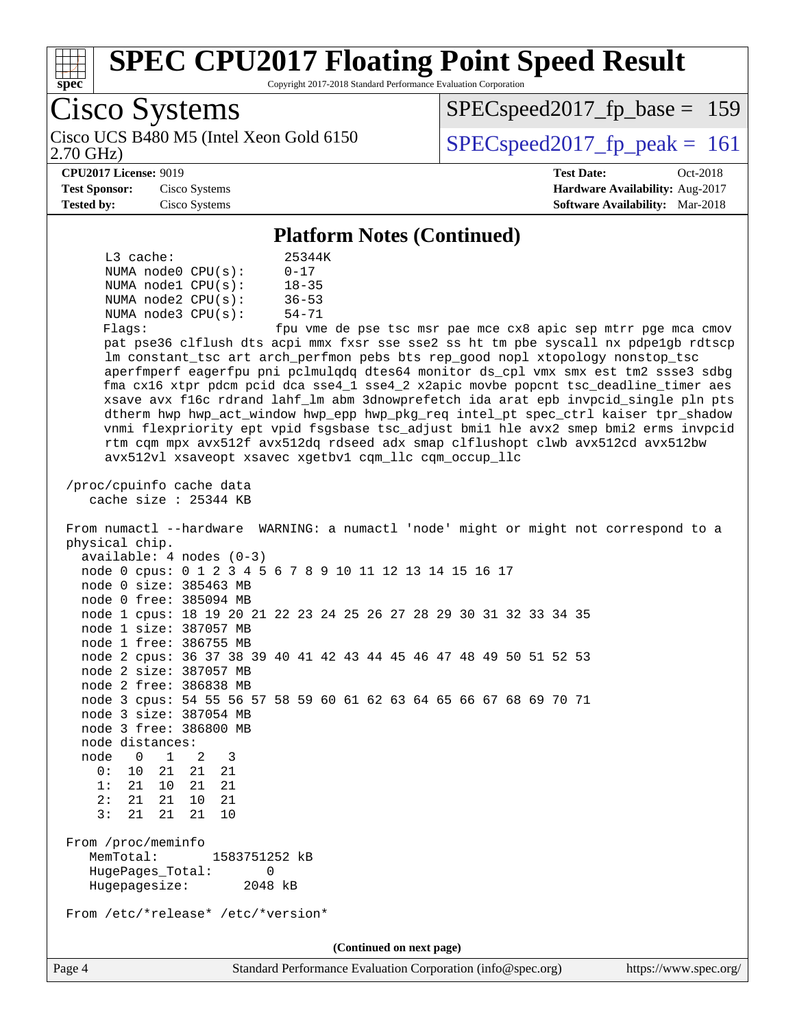

 Hugepagesize: 2048 kB From /etc/\*release\* /etc/\*version\*

**(Continued on next page)**

 node 0 1 2 3 0: 10 21 21 21 1: 21 10 21 21 2: 21 21 10 21 3: 21 21 21 10

 MemTotal: 1583751252 kB HugePages\_Total: 0

From /proc/meminfo

Page 4 Standard Performance Evaluation Corporation [\(info@spec.org\)](mailto:info@spec.org) <https://www.spec.org/>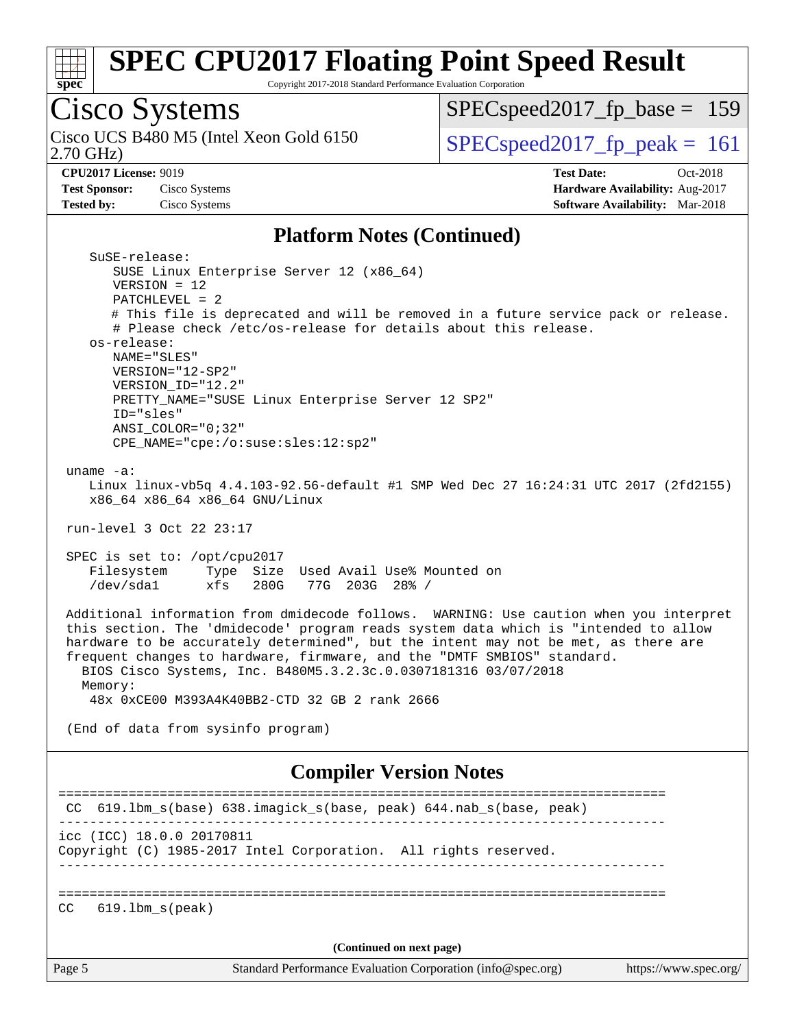

Copyright 2017-2018 Standard Performance Evaluation Corporation

# Cisco Systems<br>Cisco UCS B480 M5 (Intel Xeon Gold 6150)

2.70 GHz)

[SPECspeed2017\\_fp\\_base =](http://www.spec.org/auto/cpu2017/Docs/result-fields.html#SPECspeed2017fpbase) 159

 $SPEC speed2017_fp\_peak = 161$ 

**[Test Sponsor:](http://www.spec.org/auto/cpu2017/Docs/result-fields.html#TestSponsor)** Cisco Systems **[Hardware Availability:](http://www.spec.org/auto/cpu2017/Docs/result-fields.html#HardwareAvailability)** Aug-2017 **[Tested by:](http://www.spec.org/auto/cpu2017/Docs/result-fields.html#Testedby)** Cisco Systems **[Software Availability:](http://www.spec.org/auto/cpu2017/Docs/result-fields.html#SoftwareAvailability)** Mar-2018

**[CPU2017 License:](http://www.spec.org/auto/cpu2017/Docs/result-fields.html#CPU2017License)** 9019 **[Test Date:](http://www.spec.org/auto/cpu2017/Docs/result-fields.html#TestDate)** Oct-2018

#### **[Platform Notes \(Continued\)](http://www.spec.org/auto/cpu2017/Docs/result-fields.html#PlatformNotes)**

| SuSE-release:<br>SUSE Linux Enterprise Server 12 (x86_64)                                                                                                                                                                                                                                                                                                                                                                   |  |
|-----------------------------------------------------------------------------------------------------------------------------------------------------------------------------------------------------------------------------------------------------------------------------------------------------------------------------------------------------------------------------------------------------------------------------|--|
| $VERSION = 12$                                                                                                                                                                                                                                                                                                                                                                                                              |  |
| $PATCHLEVEL = 2$                                                                                                                                                                                                                                                                                                                                                                                                            |  |
| # This file is deprecated and will be removed in a future service pack or release.<br># Please check /etc/os-release for details about this release.                                                                                                                                                                                                                                                                        |  |
| os-release:<br>NAME="SLES"                                                                                                                                                                                                                                                                                                                                                                                                  |  |
| VERSION="12-SP2"                                                                                                                                                                                                                                                                                                                                                                                                            |  |
| VERSION_ID="12.2"                                                                                                                                                                                                                                                                                                                                                                                                           |  |
| PRETTY_NAME="SUSE Linux Enterprise Server 12 SP2"                                                                                                                                                                                                                                                                                                                                                                           |  |
| ID="sles"                                                                                                                                                                                                                                                                                                                                                                                                                   |  |
| ANSI COLOR="0;32"<br>CPE_NAME="cpe:/o:suse:sles:12:sp2"                                                                                                                                                                                                                                                                                                                                                                     |  |
|                                                                                                                                                                                                                                                                                                                                                                                                                             |  |
| uname $-a$ :                                                                                                                                                                                                                                                                                                                                                                                                                |  |
| Linux linux-vb5q 4.4.103-92.56-default #1 SMP Wed Dec 27 16:24:31 UTC 2017 (2fd2155)<br>x86_64 x86_64 x86_64 GNU/Linux                                                                                                                                                                                                                                                                                                      |  |
| run-level 3 Oct 22 23:17                                                                                                                                                                                                                                                                                                                                                                                                    |  |
| SPEC is set to: /opt/cpu2017                                                                                                                                                                                                                                                                                                                                                                                                |  |
| Filesystem<br>Type Size Used Avail Use% Mounted on                                                                                                                                                                                                                                                                                                                                                                          |  |
| /dev/sda1<br>xfs<br>280G<br>77G 203G 28% /                                                                                                                                                                                                                                                                                                                                                                                  |  |
| Additional information from dmidecode follows. WARNING: Use caution when you interpret<br>this section. The 'dmidecode' program reads system data which is "intended to allow<br>hardware to be accurately determined", but the intent may not be met, as there are<br>frequent changes to hardware, firmware, and the "DMTF SMBIOS" standard.<br>BIOS Cisco Systems, Inc. B480M5.3.2.3c.0.0307181316 03/07/2018<br>Memory: |  |
| 48x 0xCE00 M393A4K40BB2-CTD 32 GB 2 rank 2666                                                                                                                                                                                                                                                                                                                                                                               |  |
| (End of data from sysinfo program)                                                                                                                                                                                                                                                                                                                                                                                          |  |
| <b>Compiler Version Notes</b>                                                                                                                                                                                                                                                                                                                                                                                               |  |
| 619.1bm_s(base) 638.imagick_s(base, peak) 644.nab_s(base, peak)<br>CC.                                                                                                                                                                                                                                                                                                                                                      |  |
| ------------------------<br>icc (ICC) 18.0.0 20170811                                                                                                                                                                                                                                                                                                                                                                       |  |
| Copyright (C) 1985-2017 Intel Corporation. All rights reserved.                                                                                                                                                                                                                                                                                                                                                             |  |
|                                                                                                                                                                                                                                                                                                                                                                                                                             |  |
| $619.1$ bm $s$ (peak)<br>CC                                                                                                                                                                                                                                                                                                                                                                                                 |  |
| (Continued on next page)                                                                                                                                                                                                                                                                                                                                                                                                    |  |
| Standard Performance Evaluation Corporation (info@spec.org)<br>Page 5<br>https://www.spec.org/                                                                                                                                                                                                                                                                                                                              |  |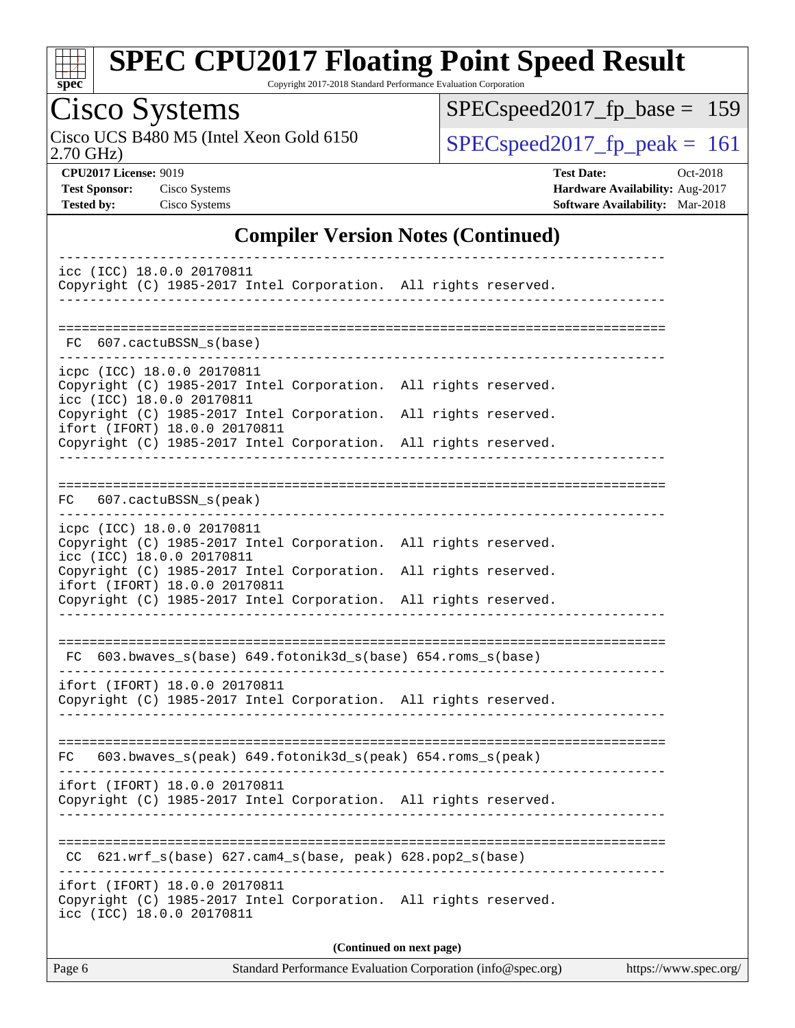

Copyright 2017-2018 Standard Performance Evaluation Corporation

# Cisco Systems<br>Cisco UCS B480 M5 (Intel Xeon Gold 6150)

2.70 GHz)

[SPECspeed2017\\_fp\\_base =](http://www.spec.org/auto/cpu2017/Docs/result-fields.html#SPECspeed2017fpbase) 159

 $SPEC speed2017_fp\_peak = 161$ 

**[CPU2017 License:](http://www.spec.org/auto/cpu2017/Docs/result-fields.html#CPU2017License)** 9019 **[Test Date:](http://www.spec.org/auto/cpu2017/Docs/result-fields.html#TestDate)** Oct-2018 **[Test Sponsor:](http://www.spec.org/auto/cpu2017/Docs/result-fields.html#TestSponsor)** Cisco Systems **[Hardware Availability:](http://www.spec.org/auto/cpu2017/Docs/result-fields.html#HardwareAvailability)** Aug-2017 **[Tested by:](http://www.spec.org/auto/cpu2017/Docs/result-fields.html#Testedby)** Cisco Systems **[Software Availability:](http://www.spec.org/auto/cpu2017/Docs/result-fields.html#SoftwareAvailability)** Mar-2018

#### **[Compiler Version Notes \(Continued\)](http://www.spec.org/auto/cpu2017/Docs/result-fields.html#CompilerVersionNotes)**

| icc (ICC) 18.0.0 20170811<br>Copyright (C) 1985-2017 Intel Corporation. All rights reserved.                                                                                                                                                                                                      |  |  |  |  |  |  |
|---------------------------------------------------------------------------------------------------------------------------------------------------------------------------------------------------------------------------------------------------------------------------------------------------|--|--|--|--|--|--|
| FC 607.cactuBSSN_s(base)                                                                                                                                                                                                                                                                          |  |  |  |  |  |  |
| icpc (ICC) 18.0.0 20170811<br>Copyright (C) 1985-2017 Intel Corporation. All rights reserved.<br>icc (ICC) 18.0.0 20170811<br>Copyright (C) 1985-2017 Intel Corporation. All rights reserved.<br>ifort (IFORT) 18.0.0 20170811<br>Copyright (C) 1985-2017 Intel Corporation. All rights reserved. |  |  |  |  |  |  |
| FC 607.cactuBSSN_s(peak)                                                                                                                                                                                                                                                                          |  |  |  |  |  |  |
| icpc (ICC) 18.0.0 20170811<br>Copyright (C) 1985-2017 Intel Corporation. All rights reserved.<br>icc (ICC) 18.0.0 20170811<br>Copyright (C) 1985-2017 Intel Corporation. All rights reserved.<br>ifort (IFORT) 18.0.0 20170811<br>Copyright (C) 1985-2017 Intel Corporation. All rights reserved. |  |  |  |  |  |  |
| FC 603.bwaves_s(base) 649.fotonik3d_s(base) 654.roms_s(base)                                                                                                                                                                                                                                      |  |  |  |  |  |  |
| ifort (IFORT) 18.0.0 20170811<br>Copyright (C) 1985-2017 Intel Corporation. All rights reserved.                                                                                                                                                                                                  |  |  |  |  |  |  |
| FC 603.bwaves_s(peak) 649.fotonik3d_s(peak) 654.roms_s(peak)<br>ifort (IFORT) 18.0.0 20170811<br>Copyright (C) 1985-2017 Intel Corporation. All rights reserved.                                                                                                                                  |  |  |  |  |  |  |
| CC 621.wrf_s(base) 627.cam4_s(base, peak) 628.pop2_s(base)                                                                                                                                                                                                                                        |  |  |  |  |  |  |
| ifort (IFORT) 18.0.0 20170811<br>Copyright (C) 1985-2017 Intel Corporation. All rights reserved.<br>icc (ICC) 18.0.0 20170811                                                                                                                                                                     |  |  |  |  |  |  |
| (Continued on next page)                                                                                                                                                                                                                                                                          |  |  |  |  |  |  |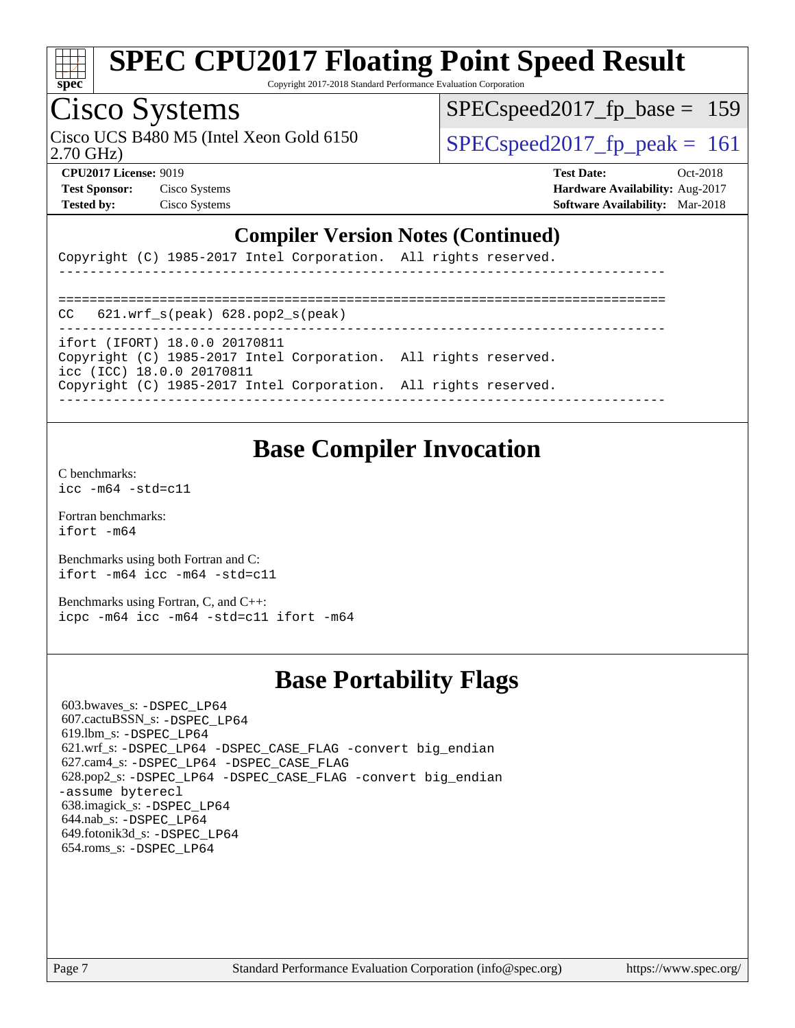

Copyright 2017-2018 Standard Performance Evaluation Corporation

### Cisco Systems

2.70 GHz) Cisco UCS B480 M5 (Intel Xeon Gold 6150  $SPEC speed2017$  fp\_peak = 161

[SPECspeed2017\\_fp\\_base =](http://www.spec.org/auto/cpu2017/Docs/result-fields.html#SPECspeed2017fpbase) 159

**[Test Sponsor:](http://www.spec.org/auto/cpu2017/Docs/result-fields.html#TestSponsor)** Cisco Systems **[Hardware Availability:](http://www.spec.org/auto/cpu2017/Docs/result-fields.html#HardwareAvailability)** Aug-2017

**[CPU2017 License:](http://www.spec.org/auto/cpu2017/Docs/result-fields.html#CPU2017License)** 9019 **[Test Date:](http://www.spec.org/auto/cpu2017/Docs/result-fields.html#TestDate)** Oct-2018 **[Tested by:](http://www.spec.org/auto/cpu2017/Docs/result-fields.html#Testedby)** Cisco Systems **[Software Availability:](http://www.spec.org/auto/cpu2017/Docs/result-fields.html#SoftwareAvailability)** Mar-2018

#### **[Compiler Version Notes \(Continued\)](http://www.spec.org/auto/cpu2017/Docs/result-fields.html#CompilerVersionNotes)**

| Copyright (C) 1985-2017 Intel Corporation. All rights reserved. |  |  |  |
|-----------------------------------------------------------------|--|--|--|

------------------------------------------------------------------------------ ============================================================================== CC 621.wrf\_s(peak) 628.pop2\_s(peak) ----------------------------------------------------------------------------- ifort (IFORT) 18.0.0 20170811 Copyright (C) 1985-2017 Intel Corporation. All rights reserved. icc (ICC) 18.0.0 20170811 Copyright (C) 1985-2017 Intel Corporation. All rights reserved. ------------------------------------------------------------------------------

#### **[Base Compiler Invocation](http://www.spec.org/auto/cpu2017/Docs/result-fields.html#BaseCompilerInvocation)**

[C benchmarks](http://www.spec.org/auto/cpu2017/Docs/result-fields.html#Cbenchmarks): [icc -m64 -std=c11](http://www.spec.org/cpu2017/results/res2018q4/cpu2017-20181030-09443.flags.html#user_CCbase_intel_icc_64bit_c11_33ee0cdaae7deeeab2a9725423ba97205ce30f63b9926c2519791662299b76a0318f32ddfffdc46587804de3178b4f9328c46fa7c2b0cd779d7a61945c91cd35)

[Fortran benchmarks](http://www.spec.org/auto/cpu2017/Docs/result-fields.html#Fortranbenchmarks): [ifort -m64](http://www.spec.org/cpu2017/results/res2018q4/cpu2017-20181030-09443.flags.html#user_FCbase_intel_ifort_64bit_24f2bb282fbaeffd6157abe4f878425411749daecae9a33200eee2bee2fe76f3b89351d69a8130dd5949958ce389cf37ff59a95e7a40d588e8d3a57e0c3fd751)

[Benchmarks using both Fortran and C](http://www.spec.org/auto/cpu2017/Docs/result-fields.html#BenchmarksusingbothFortranandC): [ifort -m64](http://www.spec.org/cpu2017/results/res2018q4/cpu2017-20181030-09443.flags.html#user_CC_FCbase_intel_ifort_64bit_24f2bb282fbaeffd6157abe4f878425411749daecae9a33200eee2bee2fe76f3b89351d69a8130dd5949958ce389cf37ff59a95e7a40d588e8d3a57e0c3fd751) [icc -m64 -std=c11](http://www.spec.org/cpu2017/results/res2018q4/cpu2017-20181030-09443.flags.html#user_CC_FCbase_intel_icc_64bit_c11_33ee0cdaae7deeeab2a9725423ba97205ce30f63b9926c2519791662299b76a0318f32ddfffdc46587804de3178b4f9328c46fa7c2b0cd779d7a61945c91cd35)

[Benchmarks using Fortran, C, and C++:](http://www.spec.org/auto/cpu2017/Docs/result-fields.html#BenchmarksusingFortranCandCXX) [icpc -m64](http://www.spec.org/cpu2017/results/res2018q4/cpu2017-20181030-09443.flags.html#user_CC_CXX_FCbase_intel_icpc_64bit_4ecb2543ae3f1412ef961e0650ca070fec7b7afdcd6ed48761b84423119d1bf6bdf5cad15b44d48e7256388bc77273b966e5eb805aefd121eb22e9299b2ec9d9) [icc -m64 -std=c11](http://www.spec.org/cpu2017/results/res2018q4/cpu2017-20181030-09443.flags.html#user_CC_CXX_FCbase_intel_icc_64bit_c11_33ee0cdaae7deeeab2a9725423ba97205ce30f63b9926c2519791662299b76a0318f32ddfffdc46587804de3178b4f9328c46fa7c2b0cd779d7a61945c91cd35) [ifort -m64](http://www.spec.org/cpu2017/results/res2018q4/cpu2017-20181030-09443.flags.html#user_CC_CXX_FCbase_intel_ifort_64bit_24f2bb282fbaeffd6157abe4f878425411749daecae9a33200eee2bee2fe76f3b89351d69a8130dd5949958ce389cf37ff59a95e7a40d588e8d3a57e0c3fd751)

#### **[Base Portability Flags](http://www.spec.org/auto/cpu2017/Docs/result-fields.html#BasePortabilityFlags)**

 603.bwaves\_s: [-DSPEC\\_LP64](http://www.spec.org/cpu2017/results/res2018q4/cpu2017-20181030-09443.flags.html#suite_basePORTABILITY603_bwaves_s_DSPEC_LP64) 607.cactuBSSN\_s: [-DSPEC\\_LP64](http://www.spec.org/cpu2017/results/res2018q4/cpu2017-20181030-09443.flags.html#suite_basePORTABILITY607_cactuBSSN_s_DSPEC_LP64) 619.lbm\_s: [-DSPEC\\_LP64](http://www.spec.org/cpu2017/results/res2018q4/cpu2017-20181030-09443.flags.html#suite_basePORTABILITY619_lbm_s_DSPEC_LP64) 621.wrf\_s: [-DSPEC\\_LP64](http://www.spec.org/cpu2017/results/res2018q4/cpu2017-20181030-09443.flags.html#suite_basePORTABILITY621_wrf_s_DSPEC_LP64) [-DSPEC\\_CASE\\_FLAG](http://www.spec.org/cpu2017/results/res2018q4/cpu2017-20181030-09443.flags.html#b621.wrf_s_baseCPORTABILITY_DSPEC_CASE_FLAG) [-convert big\\_endian](http://www.spec.org/cpu2017/results/res2018q4/cpu2017-20181030-09443.flags.html#user_baseFPORTABILITY621_wrf_s_convert_big_endian_c3194028bc08c63ac5d04de18c48ce6d347e4e562e8892b8bdbdc0214820426deb8554edfa529a3fb25a586e65a3d812c835984020483e7e73212c4d31a38223) 627.cam4\_s: [-DSPEC\\_LP64](http://www.spec.org/cpu2017/results/res2018q4/cpu2017-20181030-09443.flags.html#suite_basePORTABILITY627_cam4_s_DSPEC_LP64) [-DSPEC\\_CASE\\_FLAG](http://www.spec.org/cpu2017/results/res2018q4/cpu2017-20181030-09443.flags.html#b627.cam4_s_baseCPORTABILITY_DSPEC_CASE_FLAG) 628.pop2\_s: [-DSPEC\\_LP64](http://www.spec.org/cpu2017/results/res2018q4/cpu2017-20181030-09443.flags.html#suite_basePORTABILITY628_pop2_s_DSPEC_LP64) [-DSPEC\\_CASE\\_FLAG](http://www.spec.org/cpu2017/results/res2018q4/cpu2017-20181030-09443.flags.html#b628.pop2_s_baseCPORTABILITY_DSPEC_CASE_FLAG) [-convert big\\_endian](http://www.spec.org/cpu2017/results/res2018q4/cpu2017-20181030-09443.flags.html#user_baseFPORTABILITY628_pop2_s_convert_big_endian_c3194028bc08c63ac5d04de18c48ce6d347e4e562e8892b8bdbdc0214820426deb8554edfa529a3fb25a586e65a3d812c835984020483e7e73212c4d31a38223) [-assume byterecl](http://www.spec.org/cpu2017/results/res2018q4/cpu2017-20181030-09443.flags.html#user_baseFPORTABILITY628_pop2_s_assume_byterecl_7e47d18b9513cf18525430bbf0f2177aa9bf368bc7a059c09b2c06a34b53bd3447c950d3f8d6c70e3faf3a05c8557d66a5798b567902e8849adc142926523472) 638.imagick\_s: [-DSPEC\\_LP64](http://www.spec.org/cpu2017/results/res2018q4/cpu2017-20181030-09443.flags.html#suite_basePORTABILITY638_imagick_s_DSPEC_LP64) 644.nab\_s: [-DSPEC\\_LP64](http://www.spec.org/cpu2017/results/res2018q4/cpu2017-20181030-09443.flags.html#suite_basePORTABILITY644_nab_s_DSPEC_LP64) 649.fotonik3d\_s: [-DSPEC\\_LP64](http://www.spec.org/cpu2017/results/res2018q4/cpu2017-20181030-09443.flags.html#suite_basePORTABILITY649_fotonik3d_s_DSPEC_LP64) 654.roms\_s: [-DSPEC\\_LP64](http://www.spec.org/cpu2017/results/res2018q4/cpu2017-20181030-09443.flags.html#suite_basePORTABILITY654_roms_s_DSPEC_LP64)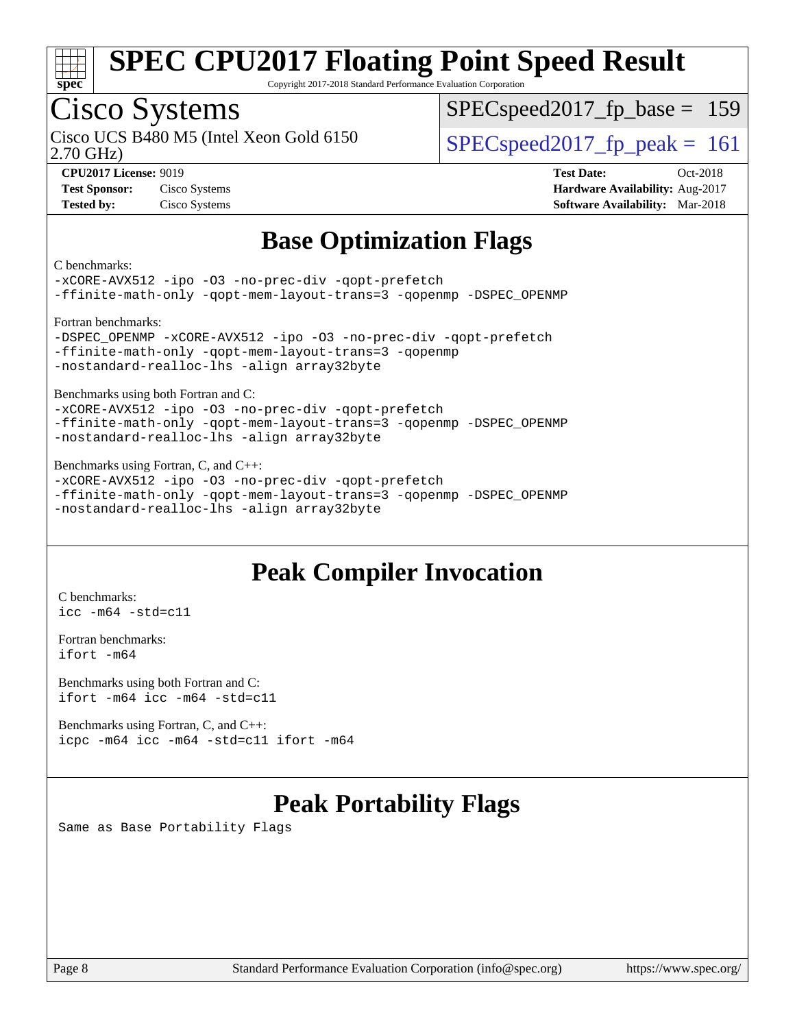

Copyright 2017-2018 Standard Performance Evaluation Corporation

### Cisco Systems

2.70 GHz) Cisco UCS B480 M5 (Intel Xeon Gold 6150  $SPECspeed2017$  fp\_peak = 161

[SPECspeed2017\\_fp\\_base =](http://www.spec.org/auto/cpu2017/Docs/result-fields.html#SPECspeed2017fpbase) 159

**[Test Sponsor:](http://www.spec.org/auto/cpu2017/Docs/result-fields.html#TestSponsor)** Cisco Systems **[Hardware Availability:](http://www.spec.org/auto/cpu2017/Docs/result-fields.html#HardwareAvailability)** Aug-2017 **[Tested by:](http://www.spec.org/auto/cpu2017/Docs/result-fields.html#Testedby)** Cisco Systems **[Software Availability:](http://www.spec.org/auto/cpu2017/Docs/result-fields.html#SoftwareAvailability)** Mar-2018

**[CPU2017 License:](http://www.spec.org/auto/cpu2017/Docs/result-fields.html#CPU2017License)** 9019 **[Test Date:](http://www.spec.org/auto/cpu2017/Docs/result-fields.html#TestDate)** Oct-2018

#### **[Base Optimization Flags](http://www.spec.org/auto/cpu2017/Docs/result-fields.html#BaseOptimizationFlags)**

[C benchmarks](http://www.spec.org/auto/cpu2017/Docs/result-fields.html#Cbenchmarks):

[-xCORE-AVX512](http://www.spec.org/cpu2017/results/res2018q4/cpu2017-20181030-09443.flags.html#user_CCbase_f-xCORE-AVX512) [-ipo](http://www.spec.org/cpu2017/results/res2018q4/cpu2017-20181030-09443.flags.html#user_CCbase_f-ipo) [-O3](http://www.spec.org/cpu2017/results/res2018q4/cpu2017-20181030-09443.flags.html#user_CCbase_f-O3) [-no-prec-div](http://www.spec.org/cpu2017/results/res2018q4/cpu2017-20181030-09443.flags.html#user_CCbase_f-no-prec-div) [-qopt-prefetch](http://www.spec.org/cpu2017/results/res2018q4/cpu2017-20181030-09443.flags.html#user_CCbase_f-qopt-prefetch) [-ffinite-math-only](http://www.spec.org/cpu2017/results/res2018q4/cpu2017-20181030-09443.flags.html#user_CCbase_f_finite_math_only_cb91587bd2077682c4b38af759c288ed7c732db004271a9512da14a4f8007909a5f1427ecbf1a0fb78ff2a814402c6114ac565ca162485bbcae155b5e4258871) [-qopt-mem-layout-trans=3](http://www.spec.org/cpu2017/results/res2018q4/cpu2017-20181030-09443.flags.html#user_CCbase_f-qopt-mem-layout-trans_de80db37974c74b1f0e20d883f0b675c88c3b01e9d123adea9b28688d64333345fb62bc4a798493513fdb68f60282f9a726aa07f478b2f7113531aecce732043) [-qopenmp](http://www.spec.org/cpu2017/results/res2018q4/cpu2017-20181030-09443.flags.html#user_CCbase_qopenmp_16be0c44f24f464004c6784a7acb94aca937f053568ce72f94b139a11c7c168634a55f6653758ddd83bcf7b8463e8028bb0b48b77bcddc6b78d5d95bb1df2967) [-DSPEC\\_OPENMP](http://www.spec.org/cpu2017/results/res2018q4/cpu2017-20181030-09443.flags.html#suite_CCbase_DSPEC_OPENMP) [Fortran benchmarks:](http://www.spec.org/auto/cpu2017/Docs/result-fields.html#Fortranbenchmarks) [-DSPEC\\_OPENMP](http://www.spec.org/cpu2017/results/res2018q4/cpu2017-20181030-09443.flags.html#suite_FCbase_DSPEC_OPENMP) [-xCORE-AVX512](http://www.spec.org/cpu2017/results/res2018q4/cpu2017-20181030-09443.flags.html#user_FCbase_f-xCORE-AVX512) [-ipo](http://www.spec.org/cpu2017/results/res2018q4/cpu2017-20181030-09443.flags.html#user_FCbase_f-ipo) [-O3](http://www.spec.org/cpu2017/results/res2018q4/cpu2017-20181030-09443.flags.html#user_FCbase_f-O3) [-no-prec-div](http://www.spec.org/cpu2017/results/res2018q4/cpu2017-20181030-09443.flags.html#user_FCbase_f-no-prec-div) [-qopt-prefetch](http://www.spec.org/cpu2017/results/res2018q4/cpu2017-20181030-09443.flags.html#user_FCbase_f-qopt-prefetch) [-ffinite-math-only](http://www.spec.org/cpu2017/results/res2018q4/cpu2017-20181030-09443.flags.html#user_FCbase_f_finite_math_only_cb91587bd2077682c4b38af759c288ed7c732db004271a9512da14a4f8007909a5f1427ecbf1a0fb78ff2a814402c6114ac565ca162485bbcae155b5e4258871) [-qopt-mem-layout-trans=3](http://www.spec.org/cpu2017/results/res2018q4/cpu2017-20181030-09443.flags.html#user_FCbase_f-qopt-mem-layout-trans_de80db37974c74b1f0e20d883f0b675c88c3b01e9d123adea9b28688d64333345fb62bc4a798493513fdb68f60282f9a726aa07f478b2f7113531aecce732043) [-qopenmp](http://www.spec.org/cpu2017/results/res2018q4/cpu2017-20181030-09443.flags.html#user_FCbase_qopenmp_16be0c44f24f464004c6784a7acb94aca937f053568ce72f94b139a11c7c168634a55f6653758ddd83bcf7b8463e8028bb0b48b77bcddc6b78d5d95bb1df2967) [-nostandard-realloc-lhs](http://www.spec.org/cpu2017/results/res2018q4/cpu2017-20181030-09443.flags.html#user_FCbase_f_2003_std_realloc_82b4557e90729c0f113870c07e44d33d6f5a304b4f63d4c15d2d0f1fab99f5daaed73bdb9275d9ae411527f28b936061aa8b9c8f2d63842963b95c9dd6426b8a) [-align array32byte](http://www.spec.org/cpu2017/results/res2018q4/cpu2017-20181030-09443.flags.html#user_FCbase_align_array32byte_b982fe038af199962ba9a80c053b8342c548c85b40b8e86eb3cc33dee0d7986a4af373ac2d51c3f7cf710a18d62fdce2948f201cd044323541f22fc0fffc51b6) [Benchmarks using both Fortran and C](http://www.spec.org/auto/cpu2017/Docs/result-fields.html#BenchmarksusingbothFortranandC): [-xCORE-AVX512](http://www.spec.org/cpu2017/results/res2018q4/cpu2017-20181030-09443.flags.html#user_CC_FCbase_f-xCORE-AVX512) [-ipo](http://www.spec.org/cpu2017/results/res2018q4/cpu2017-20181030-09443.flags.html#user_CC_FCbase_f-ipo) [-O3](http://www.spec.org/cpu2017/results/res2018q4/cpu2017-20181030-09443.flags.html#user_CC_FCbase_f-O3) [-no-prec-div](http://www.spec.org/cpu2017/results/res2018q4/cpu2017-20181030-09443.flags.html#user_CC_FCbase_f-no-prec-div) [-qopt-prefetch](http://www.spec.org/cpu2017/results/res2018q4/cpu2017-20181030-09443.flags.html#user_CC_FCbase_f-qopt-prefetch)

[-ffinite-math-only](http://www.spec.org/cpu2017/results/res2018q4/cpu2017-20181030-09443.flags.html#user_CC_FCbase_f_finite_math_only_cb91587bd2077682c4b38af759c288ed7c732db004271a9512da14a4f8007909a5f1427ecbf1a0fb78ff2a814402c6114ac565ca162485bbcae155b5e4258871) [-qopt-mem-layout-trans=3](http://www.spec.org/cpu2017/results/res2018q4/cpu2017-20181030-09443.flags.html#user_CC_FCbase_f-qopt-mem-layout-trans_de80db37974c74b1f0e20d883f0b675c88c3b01e9d123adea9b28688d64333345fb62bc4a798493513fdb68f60282f9a726aa07f478b2f7113531aecce732043) [-qopenmp](http://www.spec.org/cpu2017/results/res2018q4/cpu2017-20181030-09443.flags.html#user_CC_FCbase_qopenmp_16be0c44f24f464004c6784a7acb94aca937f053568ce72f94b139a11c7c168634a55f6653758ddd83bcf7b8463e8028bb0b48b77bcddc6b78d5d95bb1df2967) [-DSPEC\\_OPENMP](http://www.spec.org/cpu2017/results/res2018q4/cpu2017-20181030-09443.flags.html#suite_CC_FCbase_DSPEC_OPENMP) [-nostandard-realloc-lhs](http://www.spec.org/cpu2017/results/res2018q4/cpu2017-20181030-09443.flags.html#user_CC_FCbase_f_2003_std_realloc_82b4557e90729c0f113870c07e44d33d6f5a304b4f63d4c15d2d0f1fab99f5daaed73bdb9275d9ae411527f28b936061aa8b9c8f2d63842963b95c9dd6426b8a) [-align array32byte](http://www.spec.org/cpu2017/results/res2018q4/cpu2017-20181030-09443.flags.html#user_CC_FCbase_align_array32byte_b982fe038af199962ba9a80c053b8342c548c85b40b8e86eb3cc33dee0d7986a4af373ac2d51c3f7cf710a18d62fdce2948f201cd044323541f22fc0fffc51b6)

[Benchmarks using Fortran, C, and C++](http://www.spec.org/auto/cpu2017/Docs/result-fields.html#BenchmarksusingFortranCandCXX):

[-xCORE-AVX512](http://www.spec.org/cpu2017/results/res2018q4/cpu2017-20181030-09443.flags.html#user_CC_CXX_FCbase_f-xCORE-AVX512) [-ipo](http://www.spec.org/cpu2017/results/res2018q4/cpu2017-20181030-09443.flags.html#user_CC_CXX_FCbase_f-ipo) [-O3](http://www.spec.org/cpu2017/results/res2018q4/cpu2017-20181030-09443.flags.html#user_CC_CXX_FCbase_f-O3) [-no-prec-div](http://www.spec.org/cpu2017/results/res2018q4/cpu2017-20181030-09443.flags.html#user_CC_CXX_FCbase_f-no-prec-div) [-qopt-prefetch](http://www.spec.org/cpu2017/results/res2018q4/cpu2017-20181030-09443.flags.html#user_CC_CXX_FCbase_f-qopt-prefetch) [-ffinite-math-only](http://www.spec.org/cpu2017/results/res2018q4/cpu2017-20181030-09443.flags.html#user_CC_CXX_FCbase_f_finite_math_only_cb91587bd2077682c4b38af759c288ed7c732db004271a9512da14a4f8007909a5f1427ecbf1a0fb78ff2a814402c6114ac565ca162485bbcae155b5e4258871) [-qopt-mem-layout-trans=3](http://www.spec.org/cpu2017/results/res2018q4/cpu2017-20181030-09443.flags.html#user_CC_CXX_FCbase_f-qopt-mem-layout-trans_de80db37974c74b1f0e20d883f0b675c88c3b01e9d123adea9b28688d64333345fb62bc4a798493513fdb68f60282f9a726aa07f478b2f7113531aecce732043) [-qopenmp](http://www.spec.org/cpu2017/results/res2018q4/cpu2017-20181030-09443.flags.html#user_CC_CXX_FCbase_qopenmp_16be0c44f24f464004c6784a7acb94aca937f053568ce72f94b139a11c7c168634a55f6653758ddd83bcf7b8463e8028bb0b48b77bcddc6b78d5d95bb1df2967) [-DSPEC\\_OPENMP](http://www.spec.org/cpu2017/results/res2018q4/cpu2017-20181030-09443.flags.html#suite_CC_CXX_FCbase_DSPEC_OPENMP) [-nostandard-realloc-lhs](http://www.spec.org/cpu2017/results/res2018q4/cpu2017-20181030-09443.flags.html#user_CC_CXX_FCbase_f_2003_std_realloc_82b4557e90729c0f113870c07e44d33d6f5a304b4f63d4c15d2d0f1fab99f5daaed73bdb9275d9ae411527f28b936061aa8b9c8f2d63842963b95c9dd6426b8a) [-align array32byte](http://www.spec.org/cpu2017/results/res2018q4/cpu2017-20181030-09443.flags.html#user_CC_CXX_FCbase_align_array32byte_b982fe038af199962ba9a80c053b8342c548c85b40b8e86eb3cc33dee0d7986a4af373ac2d51c3f7cf710a18d62fdce2948f201cd044323541f22fc0fffc51b6)

#### **[Peak Compiler Invocation](http://www.spec.org/auto/cpu2017/Docs/result-fields.html#PeakCompilerInvocation)**

[C benchmarks](http://www.spec.org/auto/cpu2017/Docs/result-fields.html#Cbenchmarks): [icc -m64 -std=c11](http://www.spec.org/cpu2017/results/res2018q4/cpu2017-20181030-09443.flags.html#user_CCpeak_intel_icc_64bit_c11_33ee0cdaae7deeeab2a9725423ba97205ce30f63b9926c2519791662299b76a0318f32ddfffdc46587804de3178b4f9328c46fa7c2b0cd779d7a61945c91cd35)

[Fortran benchmarks](http://www.spec.org/auto/cpu2017/Docs/result-fields.html#Fortranbenchmarks): [ifort -m64](http://www.spec.org/cpu2017/results/res2018q4/cpu2017-20181030-09443.flags.html#user_FCpeak_intel_ifort_64bit_24f2bb282fbaeffd6157abe4f878425411749daecae9a33200eee2bee2fe76f3b89351d69a8130dd5949958ce389cf37ff59a95e7a40d588e8d3a57e0c3fd751)

[Benchmarks using both Fortran and C](http://www.spec.org/auto/cpu2017/Docs/result-fields.html#BenchmarksusingbothFortranandC): [ifort -m64](http://www.spec.org/cpu2017/results/res2018q4/cpu2017-20181030-09443.flags.html#user_CC_FCpeak_intel_ifort_64bit_24f2bb282fbaeffd6157abe4f878425411749daecae9a33200eee2bee2fe76f3b89351d69a8130dd5949958ce389cf37ff59a95e7a40d588e8d3a57e0c3fd751) [icc -m64 -std=c11](http://www.spec.org/cpu2017/results/res2018q4/cpu2017-20181030-09443.flags.html#user_CC_FCpeak_intel_icc_64bit_c11_33ee0cdaae7deeeab2a9725423ba97205ce30f63b9926c2519791662299b76a0318f32ddfffdc46587804de3178b4f9328c46fa7c2b0cd779d7a61945c91cd35)

[Benchmarks using Fortran, C, and C++:](http://www.spec.org/auto/cpu2017/Docs/result-fields.html#BenchmarksusingFortranCandCXX) [icpc -m64](http://www.spec.org/cpu2017/results/res2018q4/cpu2017-20181030-09443.flags.html#user_CC_CXX_FCpeak_intel_icpc_64bit_4ecb2543ae3f1412ef961e0650ca070fec7b7afdcd6ed48761b84423119d1bf6bdf5cad15b44d48e7256388bc77273b966e5eb805aefd121eb22e9299b2ec9d9) [icc -m64 -std=c11](http://www.spec.org/cpu2017/results/res2018q4/cpu2017-20181030-09443.flags.html#user_CC_CXX_FCpeak_intel_icc_64bit_c11_33ee0cdaae7deeeab2a9725423ba97205ce30f63b9926c2519791662299b76a0318f32ddfffdc46587804de3178b4f9328c46fa7c2b0cd779d7a61945c91cd35) [ifort -m64](http://www.spec.org/cpu2017/results/res2018q4/cpu2017-20181030-09443.flags.html#user_CC_CXX_FCpeak_intel_ifort_64bit_24f2bb282fbaeffd6157abe4f878425411749daecae9a33200eee2bee2fe76f3b89351d69a8130dd5949958ce389cf37ff59a95e7a40d588e8d3a57e0c3fd751)

### **[Peak Portability Flags](http://www.spec.org/auto/cpu2017/Docs/result-fields.html#PeakPortabilityFlags)**

Same as Base Portability Flags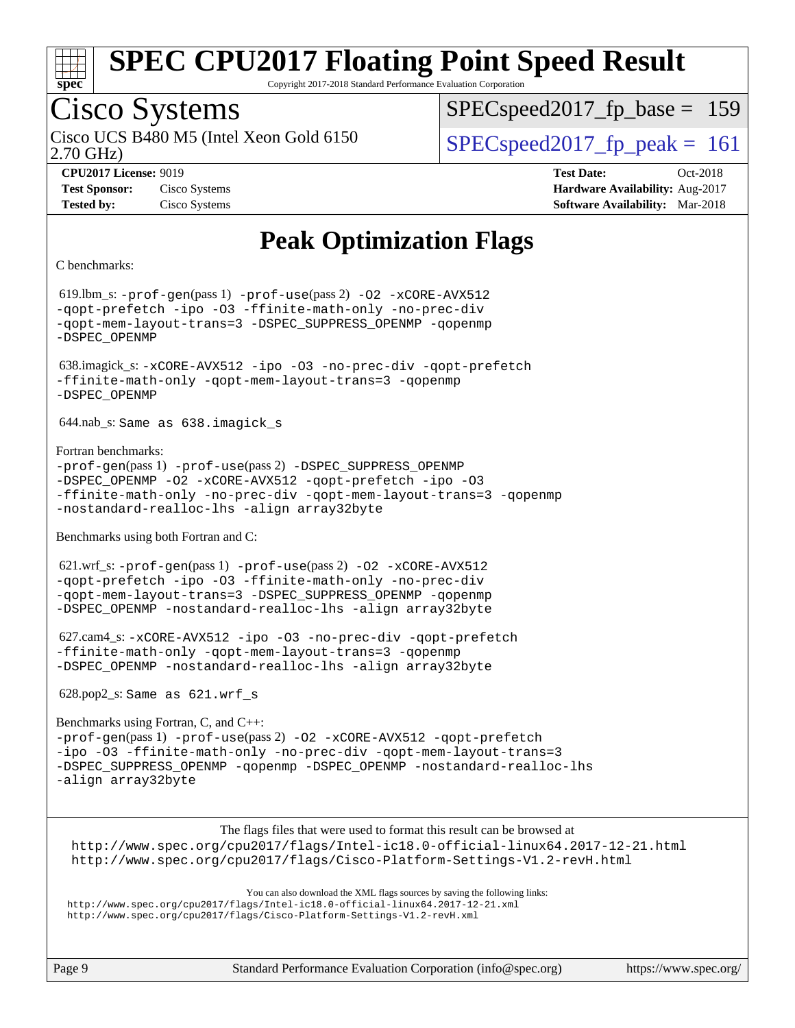

Copyright 2017-2018 Standard Performance Evaluation Corporation

### Cisco Systems

2.70 GHz) Cisco UCS B480 M5 (Intel Xeon Gold 6150  $SPEC speed2017$  fp\_peak = 161

SPECspeed2017 fp base =  $159$ 

**[CPU2017 License:](http://www.spec.org/auto/cpu2017/Docs/result-fields.html#CPU2017License)** 9019 **[Test Date:](http://www.spec.org/auto/cpu2017/Docs/result-fields.html#TestDate)** Oct-2018 **[Test Sponsor:](http://www.spec.org/auto/cpu2017/Docs/result-fields.html#TestSponsor)** Cisco Systems **[Hardware Availability:](http://www.spec.org/auto/cpu2017/Docs/result-fields.html#HardwareAvailability)** Aug-2017 **[Tested by:](http://www.spec.org/auto/cpu2017/Docs/result-fields.html#Testedby)** Cisco Systems **[Software Availability:](http://www.spec.org/auto/cpu2017/Docs/result-fields.html#SoftwareAvailability)** Mar-2018

### **[Peak Optimization Flags](http://www.spec.org/auto/cpu2017/Docs/result-fields.html#PeakOptimizationFlags)**

[C benchmarks:](http://www.spec.org/auto/cpu2017/Docs/result-fields.html#Cbenchmarks)

 619.lbm\_s: [-prof-gen](http://www.spec.org/cpu2017/results/res2018q4/cpu2017-20181030-09443.flags.html#user_peakPASS1_CFLAGSPASS1_LDFLAGS619_lbm_s_prof_gen_5aa4926d6013ddb2a31985c654b3eb18169fc0c6952a63635c234f711e6e63dd76e94ad52365559451ec499a2cdb89e4dc58ba4c67ef54ca681ffbe1461d6b36)(pass 1) [-prof-use](http://www.spec.org/cpu2017/results/res2018q4/cpu2017-20181030-09443.flags.html#user_peakPASS2_CFLAGSPASS2_LDFLAGS619_lbm_s_prof_use_1a21ceae95f36a2b53c25747139a6c16ca95bd9def2a207b4f0849963b97e94f5260e30a0c64f4bb623698870e679ca08317ef8150905d41bd88c6f78df73f19)(pass 2) [-O2](http://www.spec.org/cpu2017/results/res2018q4/cpu2017-20181030-09443.flags.html#user_peakPASS1_COPTIMIZE619_lbm_s_f-O2) [-xCORE-AVX512](http://www.spec.org/cpu2017/results/res2018q4/cpu2017-20181030-09443.flags.html#user_peakPASS2_COPTIMIZE619_lbm_s_f-xCORE-AVX512) [-qopt-prefetch](http://www.spec.org/cpu2017/results/res2018q4/cpu2017-20181030-09443.flags.html#user_peakPASS1_COPTIMIZEPASS2_COPTIMIZE619_lbm_s_f-qopt-prefetch) [-ipo](http://www.spec.org/cpu2017/results/res2018q4/cpu2017-20181030-09443.flags.html#user_peakPASS2_COPTIMIZE619_lbm_s_f-ipo) [-O3](http://www.spec.org/cpu2017/results/res2018q4/cpu2017-20181030-09443.flags.html#user_peakPASS2_COPTIMIZE619_lbm_s_f-O3) [-ffinite-math-only](http://www.spec.org/cpu2017/results/res2018q4/cpu2017-20181030-09443.flags.html#user_peakPASS1_COPTIMIZEPASS2_COPTIMIZE619_lbm_s_f_finite_math_only_cb91587bd2077682c4b38af759c288ed7c732db004271a9512da14a4f8007909a5f1427ecbf1a0fb78ff2a814402c6114ac565ca162485bbcae155b5e4258871) [-no-prec-div](http://www.spec.org/cpu2017/results/res2018q4/cpu2017-20181030-09443.flags.html#user_peakPASS2_COPTIMIZE619_lbm_s_f-no-prec-div) [-qopt-mem-layout-trans=3](http://www.spec.org/cpu2017/results/res2018q4/cpu2017-20181030-09443.flags.html#user_peakPASS1_COPTIMIZEPASS2_COPTIMIZE619_lbm_s_f-qopt-mem-layout-trans_de80db37974c74b1f0e20d883f0b675c88c3b01e9d123adea9b28688d64333345fb62bc4a798493513fdb68f60282f9a726aa07f478b2f7113531aecce732043) [-DSPEC\\_SUPPRESS\\_OPENMP](http://www.spec.org/cpu2017/results/res2018q4/cpu2017-20181030-09443.flags.html#suite_peakPASS1_COPTIMIZE619_lbm_s_DSPEC_SUPPRESS_OPENMP) [-qopenmp](http://www.spec.org/cpu2017/results/res2018q4/cpu2017-20181030-09443.flags.html#user_peakPASS2_COPTIMIZE619_lbm_s_qopenmp_16be0c44f24f464004c6784a7acb94aca937f053568ce72f94b139a11c7c168634a55f6653758ddd83bcf7b8463e8028bb0b48b77bcddc6b78d5d95bb1df2967) [-DSPEC\\_OPENMP](http://www.spec.org/cpu2017/results/res2018q4/cpu2017-20181030-09443.flags.html#suite_peakPASS2_COPTIMIZE619_lbm_s_DSPEC_OPENMP) 638.imagick\_s: [-xCORE-AVX512](http://www.spec.org/cpu2017/results/res2018q4/cpu2017-20181030-09443.flags.html#user_peakCOPTIMIZE638_imagick_s_f-xCORE-AVX512) [-ipo](http://www.spec.org/cpu2017/results/res2018q4/cpu2017-20181030-09443.flags.html#user_peakCOPTIMIZE638_imagick_s_f-ipo) [-O3](http://www.spec.org/cpu2017/results/res2018q4/cpu2017-20181030-09443.flags.html#user_peakCOPTIMIZE638_imagick_s_f-O3) [-no-prec-div](http://www.spec.org/cpu2017/results/res2018q4/cpu2017-20181030-09443.flags.html#user_peakCOPTIMIZE638_imagick_s_f-no-prec-div) [-qopt-prefetch](http://www.spec.org/cpu2017/results/res2018q4/cpu2017-20181030-09443.flags.html#user_peakCOPTIMIZE638_imagick_s_f-qopt-prefetch) [-ffinite-math-only](http://www.spec.org/cpu2017/results/res2018q4/cpu2017-20181030-09443.flags.html#user_peakCOPTIMIZE638_imagick_s_f_finite_math_only_cb91587bd2077682c4b38af759c288ed7c732db004271a9512da14a4f8007909a5f1427ecbf1a0fb78ff2a814402c6114ac565ca162485bbcae155b5e4258871) [-qopt-mem-layout-trans=3](http://www.spec.org/cpu2017/results/res2018q4/cpu2017-20181030-09443.flags.html#user_peakCOPTIMIZE638_imagick_s_f-qopt-mem-layout-trans_de80db37974c74b1f0e20d883f0b675c88c3b01e9d123adea9b28688d64333345fb62bc4a798493513fdb68f60282f9a726aa07f478b2f7113531aecce732043) [-qopenmp](http://www.spec.org/cpu2017/results/res2018q4/cpu2017-20181030-09443.flags.html#user_peakCOPTIMIZE638_imagick_s_qopenmp_16be0c44f24f464004c6784a7acb94aca937f053568ce72f94b139a11c7c168634a55f6653758ddd83bcf7b8463e8028bb0b48b77bcddc6b78d5d95bb1df2967) [-DSPEC\\_OPENMP](http://www.spec.org/cpu2017/results/res2018q4/cpu2017-20181030-09443.flags.html#suite_peakCOPTIMIZE638_imagick_s_DSPEC_OPENMP) 644.nab\_s: Same as 638.imagick\_s [Fortran benchmarks](http://www.spec.org/auto/cpu2017/Docs/result-fields.html#Fortranbenchmarks): [-prof-gen](http://www.spec.org/cpu2017/results/res2018q4/cpu2017-20181030-09443.flags.html#user_FCpeak_prof_gen_5aa4926d6013ddb2a31985c654b3eb18169fc0c6952a63635c234f711e6e63dd76e94ad52365559451ec499a2cdb89e4dc58ba4c67ef54ca681ffbe1461d6b36)(pass 1) [-prof-use](http://www.spec.org/cpu2017/results/res2018q4/cpu2017-20181030-09443.flags.html#user_FCpeak_prof_use_1a21ceae95f36a2b53c25747139a6c16ca95bd9def2a207b4f0849963b97e94f5260e30a0c64f4bb623698870e679ca08317ef8150905d41bd88c6f78df73f19)(pass 2) [-DSPEC\\_SUPPRESS\\_OPENMP](http://www.spec.org/cpu2017/results/res2018q4/cpu2017-20181030-09443.flags.html#suite_FCpeak_DSPEC_SUPPRESS_OPENMP) [-DSPEC\\_OPENMP](http://www.spec.org/cpu2017/results/res2018q4/cpu2017-20181030-09443.flags.html#suite_FCpeak_DSPEC_OPENMP) [-O2](http://www.spec.org/cpu2017/results/res2018q4/cpu2017-20181030-09443.flags.html#user_FCpeak_f-O2) [-xCORE-AVX512](http://www.spec.org/cpu2017/results/res2018q4/cpu2017-20181030-09443.flags.html#user_FCpeak_f-xCORE-AVX512) [-qopt-prefetch](http://www.spec.org/cpu2017/results/res2018q4/cpu2017-20181030-09443.flags.html#user_FCpeak_f-qopt-prefetch) [-ipo](http://www.spec.org/cpu2017/results/res2018q4/cpu2017-20181030-09443.flags.html#user_FCpeak_f-ipo) [-O3](http://www.spec.org/cpu2017/results/res2018q4/cpu2017-20181030-09443.flags.html#user_FCpeak_f-O3) [-ffinite-math-only](http://www.spec.org/cpu2017/results/res2018q4/cpu2017-20181030-09443.flags.html#user_FCpeak_f_finite_math_only_cb91587bd2077682c4b38af759c288ed7c732db004271a9512da14a4f8007909a5f1427ecbf1a0fb78ff2a814402c6114ac565ca162485bbcae155b5e4258871) [-no-prec-div](http://www.spec.org/cpu2017/results/res2018q4/cpu2017-20181030-09443.flags.html#user_FCpeak_f-no-prec-div) [-qopt-mem-layout-trans=3](http://www.spec.org/cpu2017/results/res2018q4/cpu2017-20181030-09443.flags.html#user_FCpeak_f-qopt-mem-layout-trans_de80db37974c74b1f0e20d883f0b675c88c3b01e9d123adea9b28688d64333345fb62bc4a798493513fdb68f60282f9a726aa07f478b2f7113531aecce732043) [-qopenmp](http://www.spec.org/cpu2017/results/res2018q4/cpu2017-20181030-09443.flags.html#user_FCpeak_qopenmp_16be0c44f24f464004c6784a7acb94aca937f053568ce72f94b139a11c7c168634a55f6653758ddd83bcf7b8463e8028bb0b48b77bcddc6b78d5d95bb1df2967) [-nostandard-realloc-lhs](http://www.spec.org/cpu2017/results/res2018q4/cpu2017-20181030-09443.flags.html#user_FCpeak_f_2003_std_realloc_82b4557e90729c0f113870c07e44d33d6f5a304b4f63d4c15d2d0f1fab99f5daaed73bdb9275d9ae411527f28b936061aa8b9c8f2d63842963b95c9dd6426b8a) [-align array32byte](http://www.spec.org/cpu2017/results/res2018q4/cpu2017-20181030-09443.flags.html#user_FCpeak_align_array32byte_b982fe038af199962ba9a80c053b8342c548c85b40b8e86eb3cc33dee0d7986a4af373ac2d51c3f7cf710a18d62fdce2948f201cd044323541f22fc0fffc51b6) [Benchmarks using both Fortran and C:](http://www.spec.org/auto/cpu2017/Docs/result-fields.html#BenchmarksusingbothFortranandC) 621.wrf\_s: [-prof-gen](http://www.spec.org/cpu2017/results/res2018q4/cpu2017-20181030-09443.flags.html#user_peakPASS1_CFLAGSPASS1_FFLAGSPASS1_LDFLAGS621_wrf_s_prof_gen_5aa4926d6013ddb2a31985c654b3eb18169fc0c6952a63635c234f711e6e63dd76e94ad52365559451ec499a2cdb89e4dc58ba4c67ef54ca681ffbe1461d6b36)(pass 1) [-prof-use](http://www.spec.org/cpu2017/results/res2018q4/cpu2017-20181030-09443.flags.html#user_peakPASS2_CFLAGSPASS2_FFLAGSPASS2_LDFLAGS621_wrf_s_prof_use_1a21ceae95f36a2b53c25747139a6c16ca95bd9def2a207b4f0849963b97e94f5260e30a0c64f4bb623698870e679ca08317ef8150905d41bd88c6f78df73f19)(pass 2) [-O2](http://www.spec.org/cpu2017/results/res2018q4/cpu2017-20181030-09443.flags.html#user_peakPASS1_COPTIMIZEPASS1_FOPTIMIZE621_wrf_s_f-O2) [-xCORE-AVX512](http://www.spec.org/cpu2017/results/res2018q4/cpu2017-20181030-09443.flags.html#user_peakPASS2_COPTIMIZEPASS2_FOPTIMIZE621_wrf_s_f-xCORE-AVX512) [-qopt-prefetch](http://www.spec.org/cpu2017/results/res2018q4/cpu2017-20181030-09443.flags.html#user_peakPASS1_COPTIMIZEPASS1_FOPTIMIZEPASS2_COPTIMIZEPASS2_FOPTIMIZE621_wrf_s_f-qopt-prefetch) [-ipo](http://www.spec.org/cpu2017/results/res2018q4/cpu2017-20181030-09443.flags.html#user_peakPASS2_COPTIMIZEPASS2_FOPTIMIZE621_wrf_s_f-ipo) [-O3](http://www.spec.org/cpu2017/results/res2018q4/cpu2017-20181030-09443.flags.html#user_peakPASS2_COPTIMIZEPASS2_FOPTIMIZE621_wrf_s_f-O3) [-ffinite-math-only](http://www.spec.org/cpu2017/results/res2018q4/cpu2017-20181030-09443.flags.html#user_peakPASS1_COPTIMIZEPASS1_FOPTIMIZEPASS2_COPTIMIZEPASS2_FOPTIMIZE621_wrf_s_f_finite_math_only_cb91587bd2077682c4b38af759c288ed7c732db004271a9512da14a4f8007909a5f1427ecbf1a0fb78ff2a814402c6114ac565ca162485bbcae155b5e4258871) [-no-prec-div](http://www.spec.org/cpu2017/results/res2018q4/cpu2017-20181030-09443.flags.html#user_peakPASS2_COPTIMIZEPASS2_FOPTIMIZE621_wrf_s_f-no-prec-div) [-qopt-mem-layout-trans=3](http://www.spec.org/cpu2017/results/res2018q4/cpu2017-20181030-09443.flags.html#user_peakPASS1_COPTIMIZEPASS1_FOPTIMIZEPASS2_COPTIMIZEPASS2_FOPTIMIZE621_wrf_s_f-qopt-mem-layout-trans_de80db37974c74b1f0e20d883f0b675c88c3b01e9d123adea9b28688d64333345fb62bc4a798493513fdb68f60282f9a726aa07f478b2f7113531aecce732043) [-DSPEC\\_SUPPRESS\\_OPENMP](http://www.spec.org/cpu2017/results/res2018q4/cpu2017-20181030-09443.flags.html#suite_peakPASS1_COPTIMIZEPASS1_FOPTIMIZE621_wrf_s_DSPEC_SUPPRESS_OPENMP) [-qopenmp](http://www.spec.org/cpu2017/results/res2018q4/cpu2017-20181030-09443.flags.html#user_peakPASS2_COPTIMIZEPASS2_FOPTIMIZE621_wrf_s_qopenmp_16be0c44f24f464004c6784a7acb94aca937f053568ce72f94b139a11c7c168634a55f6653758ddd83bcf7b8463e8028bb0b48b77bcddc6b78d5d95bb1df2967) [-DSPEC\\_OPENMP](http://www.spec.org/cpu2017/results/res2018q4/cpu2017-20181030-09443.flags.html#suite_peakPASS2_COPTIMIZEPASS2_FOPTIMIZE621_wrf_s_DSPEC_OPENMP) [-nostandard-realloc-lhs](http://www.spec.org/cpu2017/results/res2018q4/cpu2017-20181030-09443.flags.html#user_peakEXTRA_FOPTIMIZE621_wrf_s_f_2003_std_realloc_82b4557e90729c0f113870c07e44d33d6f5a304b4f63d4c15d2d0f1fab99f5daaed73bdb9275d9ae411527f28b936061aa8b9c8f2d63842963b95c9dd6426b8a) [-align array32byte](http://www.spec.org/cpu2017/results/res2018q4/cpu2017-20181030-09443.flags.html#user_peakEXTRA_FOPTIMIZE621_wrf_s_align_array32byte_b982fe038af199962ba9a80c053b8342c548c85b40b8e86eb3cc33dee0d7986a4af373ac2d51c3f7cf710a18d62fdce2948f201cd044323541f22fc0fffc51b6) 627.cam4\_s: [-xCORE-AVX512](http://www.spec.org/cpu2017/results/res2018q4/cpu2017-20181030-09443.flags.html#user_peakCOPTIMIZEFOPTIMIZE627_cam4_s_f-xCORE-AVX512) [-ipo](http://www.spec.org/cpu2017/results/res2018q4/cpu2017-20181030-09443.flags.html#user_peakCOPTIMIZEFOPTIMIZE627_cam4_s_f-ipo) [-O3](http://www.spec.org/cpu2017/results/res2018q4/cpu2017-20181030-09443.flags.html#user_peakCOPTIMIZEFOPTIMIZE627_cam4_s_f-O3) [-no-prec-div](http://www.spec.org/cpu2017/results/res2018q4/cpu2017-20181030-09443.flags.html#user_peakCOPTIMIZEFOPTIMIZE627_cam4_s_f-no-prec-div) [-qopt-prefetch](http://www.spec.org/cpu2017/results/res2018q4/cpu2017-20181030-09443.flags.html#user_peakCOPTIMIZEFOPTIMIZE627_cam4_s_f-qopt-prefetch) [-ffinite-math-only](http://www.spec.org/cpu2017/results/res2018q4/cpu2017-20181030-09443.flags.html#user_peakCOPTIMIZEFOPTIMIZE627_cam4_s_f_finite_math_only_cb91587bd2077682c4b38af759c288ed7c732db004271a9512da14a4f8007909a5f1427ecbf1a0fb78ff2a814402c6114ac565ca162485bbcae155b5e4258871) [-qopt-mem-layout-trans=3](http://www.spec.org/cpu2017/results/res2018q4/cpu2017-20181030-09443.flags.html#user_peakCOPTIMIZEFOPTIMIZE627_cam4_s_f-qopt-mem-layout-trans_de80db37974c74b1f0e20d883f0b675c88c3b01e9d123adea9b28688d64333345fb62bc4a798493513fdb68f60282f9a726aa07f478b2f7113531aecce732043) [-qopenmp](http://www.spec.org/cpu2017/results/res2018q4/cpu2017-20181030-09443.flags.html#user_peakCOPTIMIZEFOPTIMIZE627_cam4_s_qopenmp_16be0c44f24f464004c6784a7acb94aca937f053568ce72f94b139a11c7c168634a55f6653758ddd83bcf7b8463e8028bb0b48b77bcddc6b78d5d95bb1df2967) [-DSPEC\\_OPENMP](http://www.spec.org/cpu2017/results/res2018q4/cpu2017-20181030-09443.flags.html#suite_peakCOPTIMIZEFOPTIMIZE627_cam4_s_DSPEC_OPENMP) [-nostandard-realloc-lhs](http://www.spec.org/cpu2017/results/res2018q4/cpu2017-20181030-09443.flags.html#user_peakEXTRA_FOPTIMIZE627_cam4_s_f_2003_std_realloc_82b4557e90729c0f113870c07e44d33d6f5a304b4f63d4c15d2d0f1fab99f5daaed73bdb9275d9ae411527f28b936061aa8b9c8f2d63842963b95c9dd6426b8a) [-align array32byte](http://www.spec.org/cpu2017/results/res2018q4/cpu2017-20181030-09443.flags.html#user_peakEXTRA_FOPTIMIZE627_cam4_s_align_array32byte_b982fe038af199962ba9a80c053b8342c548c85b40b8e86eb3cc33dee0d7986a4af373ac2d51c3f7cf710a18d62fdce2948f201cd044323541f22fc0fffc51b6) 628.pop2\_s: Same as 621.wrf\_s [Benchmarks using Fortran, C, and C++:](http://www.spec.org/auto/cpu2017/Docs/result-fields.html#BenchmarksusingFortranCandCXX) [-prof-gen](http://www.spec.org/cpu2017/results/res2018q4/cpu2017-20181030-09443.flags.html#user_CC_CXX_FCpeak_prof_gen_5aa4926d6013ddb2a31985c654b3eb18169fc0c6952a63635c234f711e6e63dd76e94ad52365559451ec499a2cdb89e4dc58ba4c67ef54ca681ffbe1461d6b36)(pass 1) [-prof-use](http://www.spec.org/cpu2017/results/res2018q4/cpu2017-20181030-09443.flags.html#user_CC_CXX_FCpeak_prof_use_1a21ceae95f36a2b53c25747139a6c16ca95bd9def2a207b4f0849963b97e94f5260e30a0c64f4bb623698870e679ca08317ef8150905d41bd88c6f78df73f19)(pass 2) [-O2](http://www.spec.org/cpu2017/results/res2018q4/cpu2017-20181030-09443.flags.html#user_CC_CXX_FCpeak_f-O2) [-xCORE-AVX512](http://www.spec.org/cpu2017/results/res2018q4/cpu2017-20181030-09443.flags.html#user_CC_CXX_FCpeak_f-xCORE-AVX512) [-qopt-prefetch](http://www.spec.org/cpu2017/results/res2018q4/cpu2017-20181030-09443.flags.html#user_CC_CXX_FCpeak_f-qopt-prefetch) [-ipo](http://www.spec.org/cpu2017/results/res2018q4/cpu2017-20181030-09443.flags.html#user_CC_CXX_FCpeak_f-ipo) [-O3](http://www.spec.org/cpu2017/results/res2018q4/cpu2017-20181030-09443.flags.html#user_CC_CXX_FCpeak_f-O3) [-ffinite-math-only](http://www.spec.org/cpu2017/results/res2018q4/cpu2017-20181030-09443.flags.html#user_CC_CXX_FCpeak_f_finite_math_only_cb91587bd2077682c4b38af759c288ed7c732db004271a9512da14a4f8007909a5f1427ecbf1a0fb78ff2a814402c6114ac565ca162485bbcae155b5e4258871) [-no-prec-div](http://www.spec.org/cpu2017/results/res2018q4/cpu2017-20181030-09443.flags.html#user_CC_CXX_FCpeak_f-no-prec-div) [-qopt-mem-layout-trans=3](http://www.spec.org/cpu2017/results/res2018q4/cpu2017-20181030-09443.flags.html#user_CC_CXX_FCpeak_f-qopt-mem-layout-trans_de80db37974c74b1f0e20d883f0b675c88c3b01e9d123adea9b28688d64333345fb62bc4a798493513fdb68f60282f9a726aa07f478b2f7113531aecce732043) [-DSPEC\\_SUPPRESS\\_OPENMP](http://www.spec.org/cpu2017/results/res2018q4/cpu2017-20181030-09443.flags.html#suite_CC_CXX_FCpeak_DSPEC_SUPPRESS_OPENMP) [-qopenmp](http://www.spec.org/cpu2017/results/res2018q4/cpu2017-20181030-09443.flags.html#user_CC_CXX_FCpeak_qopenmp_16be0c44f24f464004c6784a7acb94aca937f053568ce72f94b139a11c7c168634a55f6653758ddd83bcf7b8463e8028bb0b48b77bcddc6b78d5d95bb1df2967) [-DSPEC\\_OPENMP](http://www.spec.org/cpu2017/results/res2018q4/cpu2017-20181030-09443.flags.html#suite_CC_CXX_FCpeak_DSPEC_OPENMP) [-nostandard-realloc-lhs](http://www.spec.org/cpu2017/results/res2018q4/cpu2017-20181030-09443.flags.html#user_CC_CXX_FCpeak_f_2003_std_realloc_82b4557e90729c0f113870c07e44d33d6f5a304b4f63d4c15d2d0f1fab99f5daaed73bdb9275d9ae411527f28b936061aa8b9c8f2d63842963b95c9dd6426b8a) [-align array32byte](http://www.spec.org/cpu2017/results/res2018q4/cpu2017-20181030-09443.flags.html#user_CC_CXX_FCpeak_align_array32byte_b982fe038af199962ba9a80c053b8342c548c85b40b8e86eb3cc33dee0d7986a4af373ac2d51c3f7cf710a18d62fdce2948f201cd044323541f22fc0fffc51b6) The flags files that were used to format this result can be browsed at <http://www.spec.org/cpu2017/flags/Intel-ic18.0-official-linux64.2017-12-21.html> <http://www.spec.org/cpu2017/flags/Cisco-Platform-Settings-V1.2-revH.html>

You can also download the XML flags sources by saving the following links: <http://www.spec.org/cpu2017/flags/Intel-ic18.0-official-linux64.2017-12-21.xml> <http://www.spec.org/cpu2017/flags/Cisco-Platform-Settings-V1.2-revH.xml>

Page 9 Standard Performance Evaluation Corporation [\(info@spec.org\)](mailto:info@spec.org) <https://www.spec.org/>